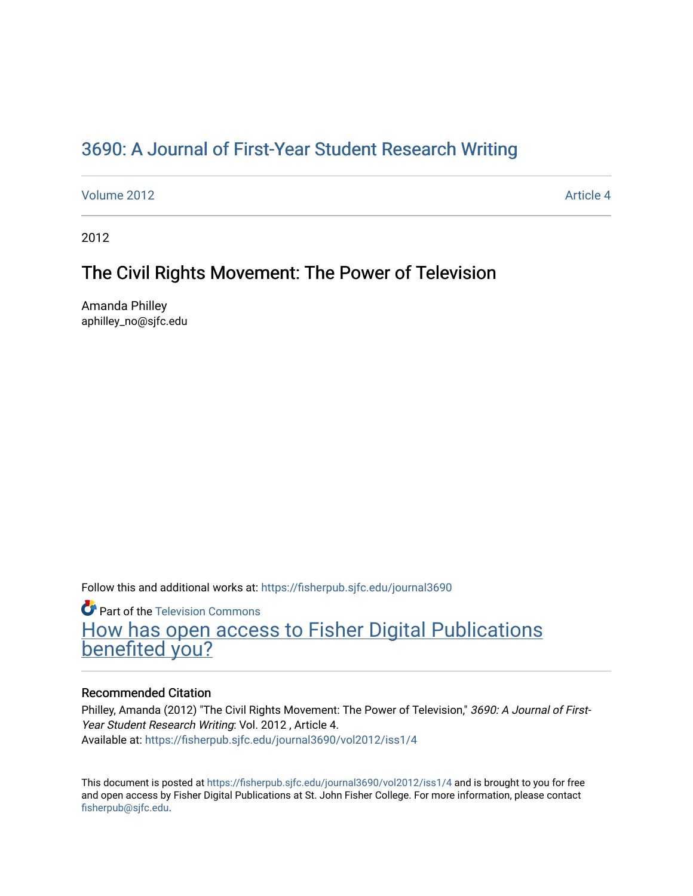# [3690: A Journal of First-Year Student Research Writing](https://fisherpub.sjfc.edu/journal3690)

[Volume 2012](https://fisherpub.sjfc.edu/journal3690/vol2012) **Article 4** Article 4

2012

# The Civil Rights Movement: The Power of Television

Amanda Philley aphilley\_no@sjfc.edu

Follow this and additional works at: [https://fisherpub.sjfc.edu/journal3690](https://fisherpub.sjfc.edu/journal3690?utm_source=fisherpub.sjfc.edu%2Fjournal3690%2Fvol2012%2Fiss1%2F4&utm_medium=PDF&utm_campaign=PDFCoverPages) 

**P** Part of the [Television Commons](http://network.bepress.com/hgg/discipline/1143?utm_source=fisherpub.sjfc.edu%2Fjournal3690%2Fvol2012%2Fiss1%2F4&utm_medium=PDF&utm_campaign=PDFCoverPages)

[How has open access to Fisher Digital Publications](https://docs.google.com/forms/d/14zrnDfH9d1wcdq8oG_-gFabAsxfcH5claltx85ZWyTg/viewform?entry.1394608989=https://fisherpub.sjfc.edu/journal3690/vol2012/iss1/4%3Chttps://docs.google.com/forms/d/14zrnDfH9d1wcdq8oG_-gFabAsxfcH5claltx85ZWyTg/viewform?entry.1394608989=%7bhttps://fisherpub.sjfc.edu/journal3690/vol2012/iss1/4%7d) [benefited you?](https://docs.google.com/forms/d/14zrnDfH9d1wcdq8oG_-gFabAsxfcH5claltx85ZWyTg/viewform?entry.1394608989=https://fisherpub.sjfc.edu/journal3690/vol2012/iss1/4%3Chttps://docs.google.com/forms/d/14zrnDfH9d1wcdq8oG_-gFabAsxfcH5claltx85ZWyTg/viewform?entry.1394608989=%7bhttps://fisherpub.sjfc.edu/journal3690/vol2012/iss1/4%7d)

# Recommended Citation

Philley, Amanda (2012) "The Civil Rights Movement: The Power of Television," 3690: A Journal of First-Year Student Research Writing: Vol. 2012 , Article 4. Available at: [https://fisherpub.sjfc.edu/journal3690/vol2012/iss1/4](https://fisherpub.sjfc.edu/journal3690/vol2012/iss1/4?utm_source=fisherpub.sjfc.edu%2Fjournal3690%2Fvol2012%2Fiss1%2F4&utm_medium=PDF&utm_campaign=PDFCoverPages) 

This document is posted at <https://fisherpub.sjfc.edu/journal3690/vol2012/iss1/4> and is brought to you for free and open access by Fisher Digital Publications at St. John Fisher College. For more information, please contact [fisherpub@sjfc.edu](mailto:fisherpub@sjfc.edu).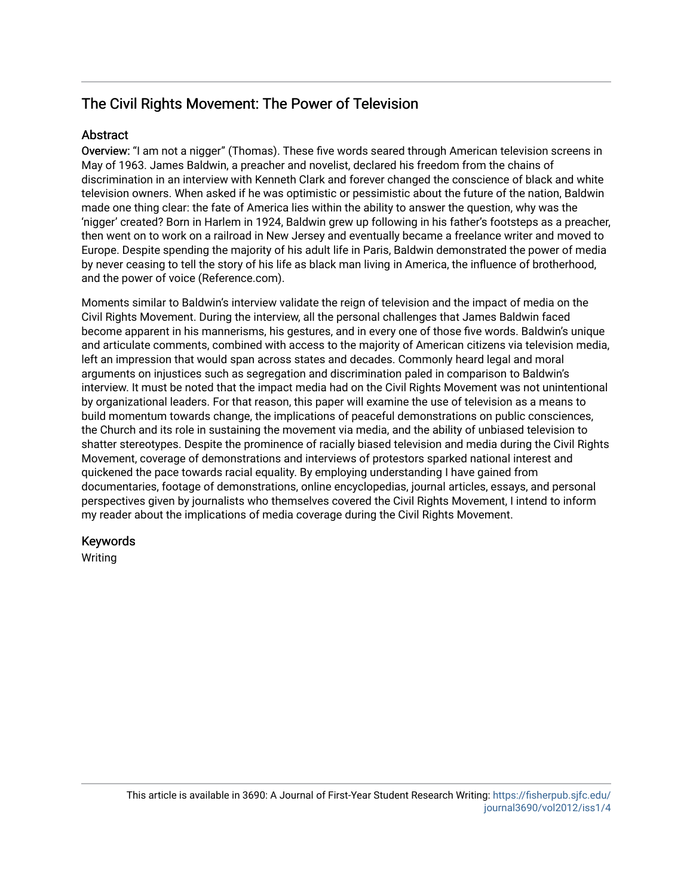# The Civil Rights Movement: The Power of Television

# **Abstract**

Overview: "I am not a nigger" (Thomas). These five words seared through American television screens in May of 1963. James Baldwin, a preacher and novelist, declared his freedom from the chains of discrimination in an interview with Kenneth Clark and forever changed the conscience of black and white television owners. When asked if he was optimistic or pessimistic about the future of the nation, Baldwin made one thing clear: the fate of America lies within the ability to answer the question, why was the 'nigger' created? Born in Harlem in 1924, Baldwin grew up following in his father's footsteps as a preacher, then went on to work on a railroad in New Jersey and eventually became a freelance writer and moved to Europe. Despite spending the majority of his adult life in Paris, Baldwin demonstrated the power of media by never ceasing to tell the story of his life as black man living in America, the influence of brotherhood, and the power of voice (Reference.com).

Moments similar to Baldwin's interview validate the reign of television and the impact of media on the Civil Rights Movement. During the interview, all the personal challenges that James Baldwin faced become apparent in his mannerisms, his gestures, and in every one of those five words. Baldwin's unique and articulate comments, combined with access to the majority of American citizens via television media, left an impression that would span across states and decades. Commonly heard legal and moral arguments on injustices such as segregation and discrimination paled in comparison to Baldwin's interview. It must be noted that the impact media had on the Civil Rights Movement was not unintentional by organizational leaders. For that reason, this paper will examine the use of television as a means to build momentum towards change, the implications of peaceful demonstrations on public consciences, the Church and its role in sustaining the movement via media, and the ability of unbiased television to shatter stereotypes. Despite the prominence of racially biased television and media during the Civil Rights Movement, coverage of demonstrations and interviews of protestors sparked national interest and quickened the pace towards racial equality. By employing understanding I have gained from documentaries, footage of demonstrations, online encyclopedias, journal articles, essays, and personal perspectives given by journalists who themselves covered the Civil Rights Movement, I intend to inform my reader about the implications of media coverage during the Civil Rights Movement.

# Keywords

Writing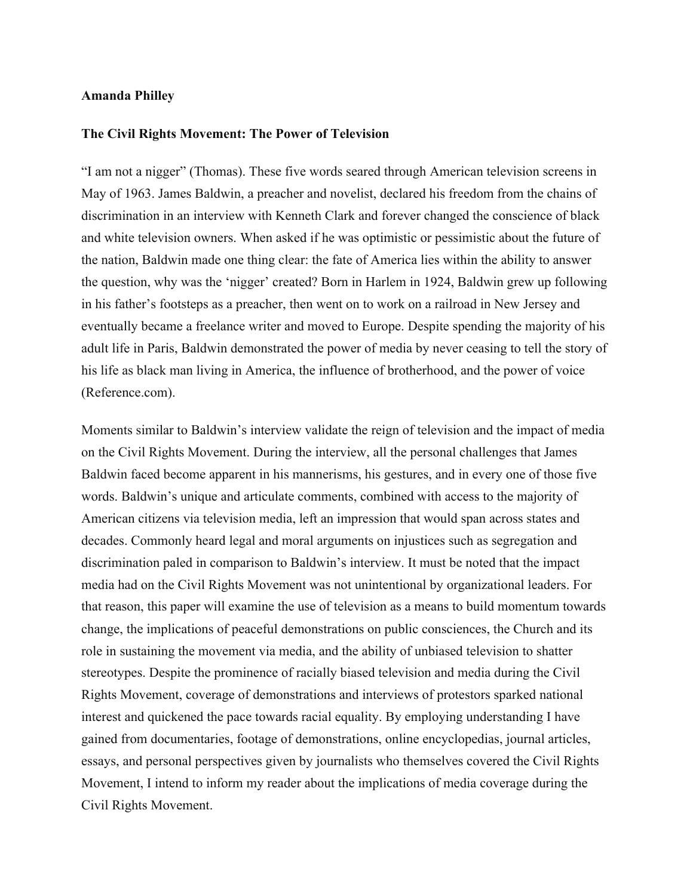## **Amanda Philley**

#### **The Civil Rights Movement: The Power of Television**

"I am not a nigger" (Thomas). These five words seared through American television screens in May of 1963. James Baldwin, a preacher and novelist, declared his freedom from the chains of discrimination in an interview with Kenneth Clark and forever changed the conscience of black and white television owners. When asked if he was optimistic or pessimistic about the future of the nation, Baldwin made one thing clear: the fate of America lies within the ability to answer the question, why was the 'nigger' created? Born in Harlem in 1924, Baldwin grew up following in his father's footsteps as a preacher, then went on to work on a railroad in New Jersey and eventually became a freelance writer and moved to Europe. Despite spending the majority of his adult life in Paris, Baldwin demonstrated the power of media by never ceasing to tell the story of his life as black man living in America, the influence of brotherhood, and the power of voice (Reference.com).

Moments similar to Baldwin's interview validate the reign of television and the impact of media on the Civil Rights Movement. During the interview, all the personal challenges that James Baldwin faced become apparent in his mannerisms, his gestures, and in every one of those five words. Baldwin's unique and articulate comments, combined with access to the majority of American citizens via television media, left an impression that would span across states and decades. Commonly heard legal and moral arguments on injustices such as segregation and discrimination paled in comparison to Baldwin's interview. It must be noted that the impact media had on the Civil Rights Movement was not unintentional by organizational leaders. For that reason, this paper will examine the use of television as a means to build momentum towards change, the implications of peaceful demonstrations on public consciences, the Church and its role in sustaining the movement via media, and the ability of unbiased television to shatter stereotypes. Despite the prominence of racially biased television and media during the Civil Rights Movement, coverage of demonstrations and interviews of protestors sparked national interest and quickened the pace towards racial equality. By employing understanding I have gained from documentaries, footage of demonstrations, online encyclopedias, journal articles, essays, and personal perspectives given by journalists who themselves covered the Civil Rights Movement, I intend to inform my reader about the implications of media coverage during the Civil Rights Movement.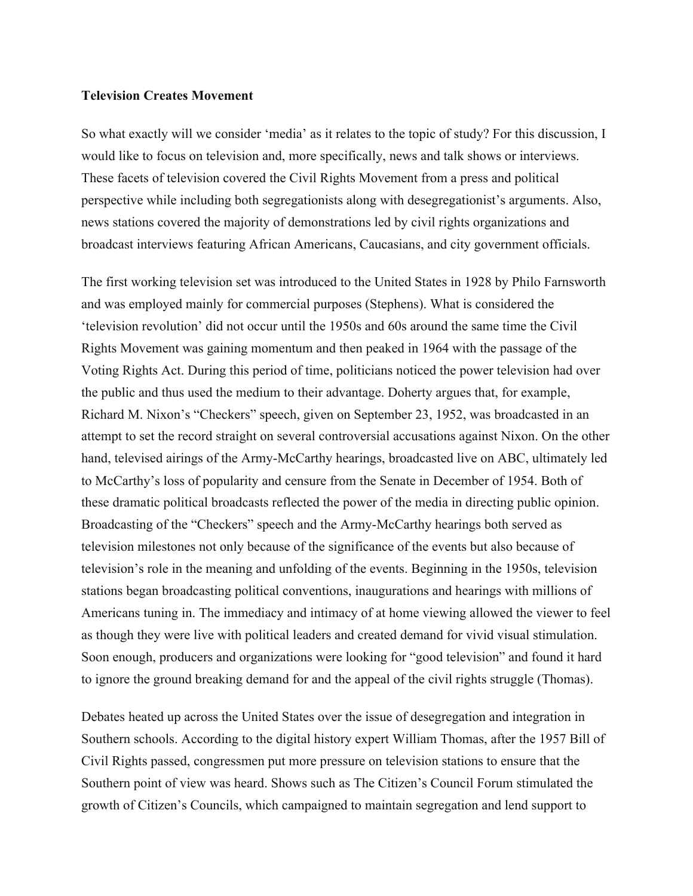## **Television Creates Movement**

So what exactly will we consider 'media' as it relates to the topic of study? For this discussion, I would like to focus on television and, more specifically, news and talk shows or interviews. These facets of television covered the Civil Rights Movement from a press and political perspective while including both segregationists along with desegregationist's arguments. Also, news stations covered the majority of demonstrations led by civil rights organizations and broadcast interviews featuring African Americans, Caucasians, and city government officials.

The first working television set was introduced to the United States in 1928 by Philo Farnsworth and was employed mainly for commercial purposes (Stephens). What is considered the 'television revolution' did not occur until the 1950s and 60s around the same time the Civil Rights Movement was gaining momentum and then peaked in 1964 with the passage of the Voting Rights Act. During this period of time, politicians noticed the power television had over the public and thus used the medium to their advantage. Doherty argues that, for example, Richard M. Nixon's "Checkers" speech, given on September 23, 1952, was broadcasted in an attempt to set the record straight on several controversial accusations against Nixon. On the other hand, televised airings of the Army-McCarthy hearings, broadcasted live on ABC, ultimately led to McCarthy's loss of popularity and censure from the Senate in December of 1954. Both of these dramatic political broadcasts reflected the power of the media in directing public opinion. Broadcasting of the "Checkers" speech and the Army-McCarthy hearings both served as television milestones not only because of the significance of the events but also because of television's role in the meaning and unfolding of the events. Beginning in the 1950s, television stations began broadcasting political conventions, inaugurations and hearings with millions of Americans tuning in. The immediacy and intimacy of at home viewing allowed the viewer to feel as though they were live with political leaders and created demand for vivid visual stimulation. Soon enough, producers and organizations were looking for "good television" and found it hard to ignore the ground breaking demand for and the appeal of the civil rights struggle (Thomas).

Debates heated up across the United States over the issue of desegregation and integration in Southern schools. According to the digital history expert William Thomas, after the 1957 Bill of Civil Rights passed, congressmen put more pressure on television stations to ensure that the Southern point of view was heard. Shows such as The Citizen's Council Forum stimulated the growth of Citizen's Councils, which campaigned to maintain segregation and lend support to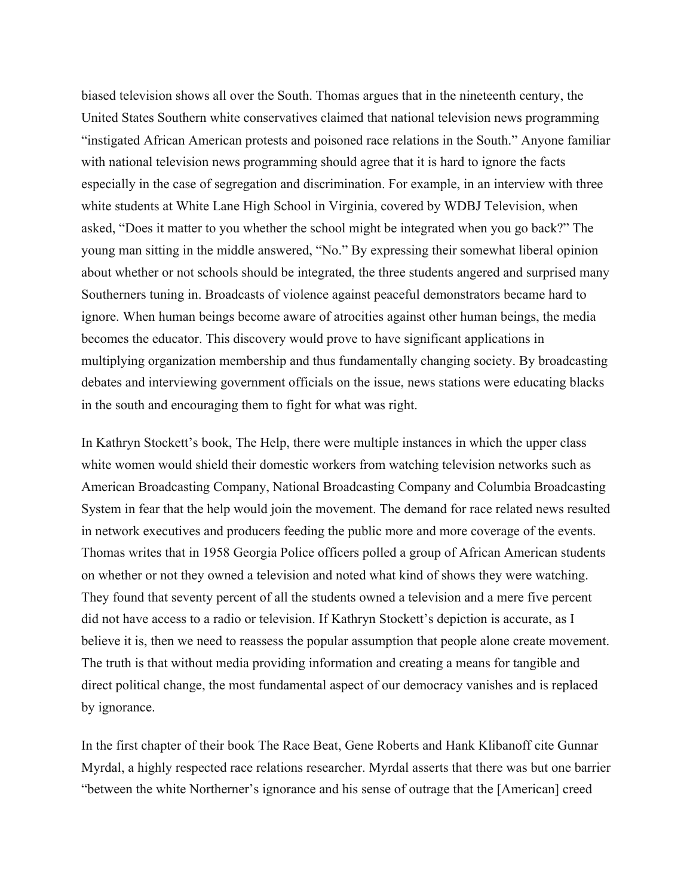biased television shows all over the South. Thomas argues that in the nineteenth century, the United States Southern white conservatives claimed that national television news programming "instigated African American protests and poisoned race relations in the South." Anyone familiar with national television news programming should agree that it is hard to ignore the facts especially in the case of segregation and discrimination. For example, in an interview with three white students at White Lane High School in Virginia, covered by WDBJ Television, when asked, "Does it matter to you whether the school might be integrated when you go back?" The young man sitting in the middle answered, "No." By expressing their somewhat liberal opinion about whether or not schools should be integrated, the three students angered and surprised many Southerners tuning in. Broadcasts of violence against peaceful demonstrators became hard to ignore. When human beings become aware of atrocities against other human beings, the media becomes the educator. This discovery would prove to have significant applications in multiplying organization membership and thus fundamentally changing society. By broadcasting debates and interviewing government officials on the issue, news stations were educating blacks in the south and encouraging them to fight for what was right.

In Kathryn Stockett's book, The Help, there were multiple instances in which the upper class white women would shield their domestic workers from watching television networks such as American Broadcasting Company, National Broadcasting Company and Columbia Broadcasting System in fear that the help would join the movement. The demand for race related news resulted in network executives and producers feeding the public more and more coverage of the events. Thomas writes that in 1958 Georgia Police officers polled a group of African American students on whether or not they owned a television and noted what kind of shows they were watching. They found that seventy percent of all the students owned a television and a mere five percent did not have access to a radio or television. If Kathryn Stockett's depiction is accurate, as I believe it is, then we need to reassess the popular assumption that people alone create movement. The truth is that without media providing information and creating a means for tangible and direct political change, the most fundamental aspect of our democracy vanishes and is replaced by ignorance.

In the first chapter of their book The Race Beat, Gene Roberts and Hank Klibanoff cite Gunnar Myrdal, a highly respected race relations researcher. Myrdal asserts that there was but one barrier "between the white Northerner's ignorance and his sense of outrage that the [American] creed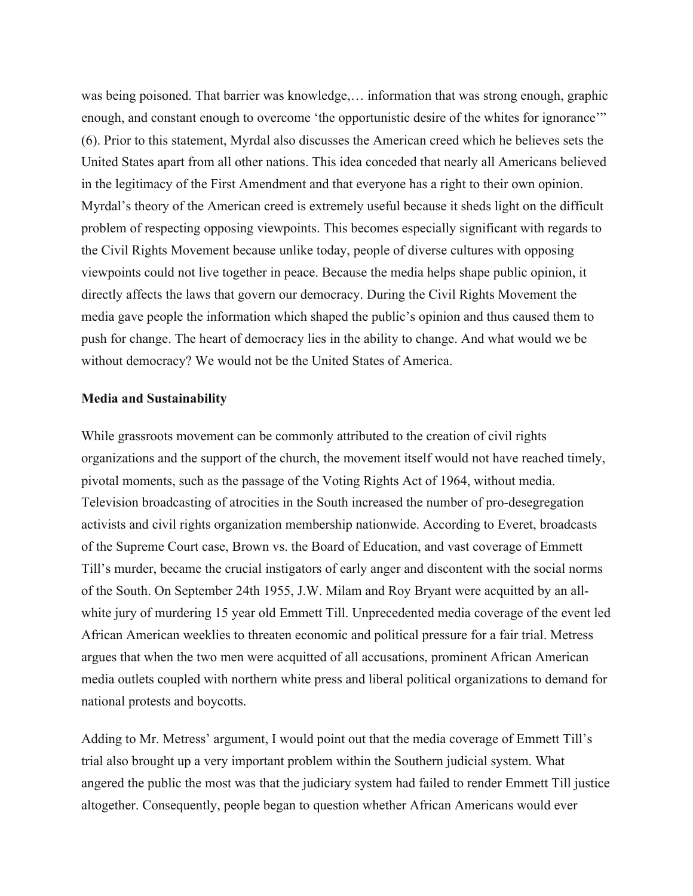was being poisoned. That barrier was knowledge,… information that was strong enough, graphic enough, and constant enough to overcome 'the opportunistic desire of the whites for ignorance'" (6). Prior to this statement, Myrdal also discusses the American creed which he believes sets the United States apart from all other nations. This idea conceded that nearly all Americans believed in the legitimacy of the First Amendment and that everyone has a right to their own opinion. Myrdal's theory of the American creed is extremely useful because it sheds light on the difficult problem of respecting opposing viewpoints. This becomes especially significant with regards to the Civil Rights Movement because unlike today, people of diverse cultures with opposing viewpoints could not live together in peace. Because the media helps shape public opinion, it directly affects the laws that govern our democracy. During the Civil Rights Movement the media gave people the information which shaped the public's opinion and thus caused them to push for change. The heart of democracy lies in the ability to change. And what would we be without democracy? We would not be the United States of America.

#### **Media and Sustainability**

While grassroots movement can be commonly attributed to the creation of civil rights organizations and the support of the church, the movement itself would not have reached timely, pivotal moments, such as the passage of the Voting Rights Act of 1964, without media. Television broadcasting of atrocities in the South increased the number of pro-desegregation activists and civil rights organization membership nationwide. According to Everet, broadcasts of the Supreme Court case, Brown vs. the Board of Education, and vast coverage of Emmett Till's murder, became the crucial instigators of early anger and discontent with the social norms of the South. On September 24th 1955, J.W. Milam and Roy Bryant were acquitted by an allwhite jury of murdering 15 year old Emmett Till. Unprecedented media coverage of the event led African American weeklies to threaten economic and political pressure for a fair trial. Metress argues that when the two men were acquitted of all accusations, prominent African American media outlets coupled with northern white press and liberal political organizations to demand for national protests and boycotts.

Adding to Mr. Metress' argument, I would point out that the media coverage of Emmett Till's trial also brought up a very important problem within the Southern judicial system. What angered the public the most was that the judiciary system had failed to render Emmett Till justice altogether. Consequently, people began to question whether African Americans would ever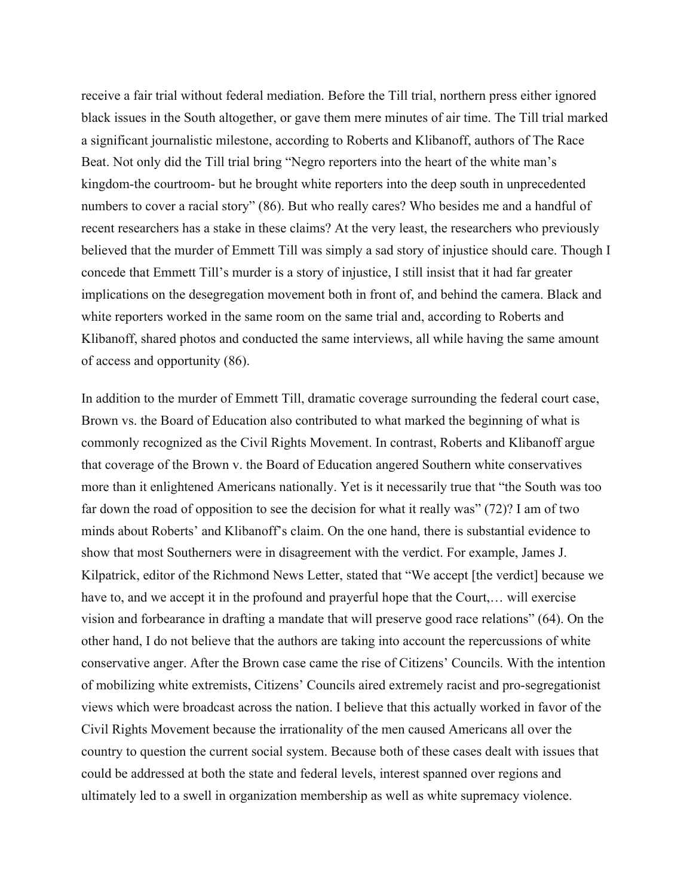receive a fair trial without federal mediation. Before the Till trial, northern press either ignored black issues in the South altogether, or gave them mere minutes of air time. The Till trial marked a significant journalistic milestone, according to Roberts and Klibanoff, authors of The Race Beat. Not only did the Till trial bring "Negro reporters into the heart of the white man's kingdom-the courtroom- but he brought white reporters into the deep south in unprecedented numbers to cover a racial story" (86). But who really cares? Who besides me and a handful of recent researchers has a stake in these claims? At the very least, the researchers who previously believed that the murder of Emmett Till was simply a sad story of injustice should care. Though I concede that Emmett Till's murder is a story of injustice, I still insist that it had far greater implications on the desegregation movement both in front of, and behind the camera. Black and white reporters worked in the same room on the same trial and, according to Roberts and Klibanoff, shared photos and conducted the same interviews, all while having the same amount of access and opportunity (86).

In addition to the murder of Emmett Till, dramatic coverage surrounding the federal court case, Brown vs. the Board of Education also contributed to what marked the beginning of what is commonly recognized as the Civil Rights Movement. In contrast, Roberts and Klibanoff argue that coverage of the Brown v. the Board of Education angered Southern white conservatives more than it enlightened Americans nationally. Yet is it necessarily true that "the South was too far down the road of opposition to see the decision for what it really was" (72)? I am of two minds about Roberts' and Klibanoff's claim. On the one hand, there is substantial evidence to show that most Southerners were in disagreement with the verdict. For example, James J. Kilpatrick, editor of the Richmond News Letter, stated that "We accept [the verdict] because we have to, and we accept it in the profound and prayerful hope that the Court,... will exercise vision and forbearance in drafting a mandate that will preserve good race relations" (64). On the other hand, I do not believe that the authors are taking into account the repercussions of white conservative anger. After the Brown case came the rise of Citizens' Councils. With the intention of mobilizing white extremists, Citizens' Councils aired extremely racist and pro-segregationist views which were broadcast across the nation. I believe that this actually worked in favor of the Civil Rights Movement because the irrationality of the men caused Americans all over the country to question the current social system. Because both of these cases dealt with issues that could be addressed at both the state and federal levels, interest spanned over regions and ultimately led to a swell in organization membership as well as white supremacy violence.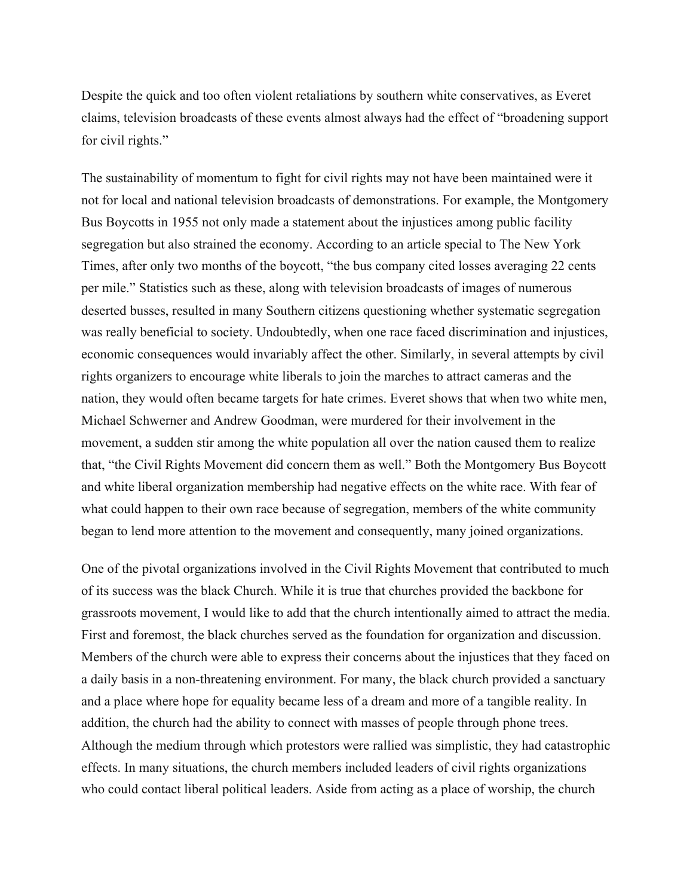Despite the quick and too often violent retaliations by southern white conservatives, as Everet claims, television broadcasts of these events almost always had the effect of "broadening support for civil rights."

The sustainability of momentum to fight for civil rights may not have been maintained were it not for local and national television broadcasts of demonstrations. For example, the Montgomery Bus Boycotts in 1955 not only made a statement about the injustices among public facility segregation but also strained the economy. According to an article special to The New York Times, after only two months of the boycott, "the bus company cited losses averaging 22 cents per mile." Statistics such as these, along with television broadcasts of images of numerous deserted busses, resulted in many Southern citizens questioning whether systematic segregation was really beneficial to society. Undoubtedly, when one race faced discrimination and injustices, economic consequences would invariably affect the other. Similarly, in several attempts by civil rights organizers to encourage white liberals to join the marches to attract cameras and the nation, they would often became targets for hate crimes. Everet shows that when two white men, Michael Schwerner and Andrew Goodman, were murdered for their involvement in the movement, a sudden stir among the white population all over the nation caused them to realize that, "the Civil Rights Movement did concern them as well." Both the Montgomery Bus Boycott and white liberal organization membership had negative effects on the white race. With fear of what could happen to their own race because of segregation, members of the white community began to lend more attention to the movement and consequently, many joined organizations.

One of the pivotal organizations involved in the Civil Rights Movement that contributed to much of its success was the black Church. While it is true that churches provided the backbone for grassroots movement, I would like to add that the church intentionally aimed to attract the media. First and foremost, the black churches served as the foundation for organization and discussion. Members of the church were able to express their concerns about the injustices that they faced on a daily basis in a non-threatening environment. For many, the black church provided a sanctuary and a place where hope for equality became less of a dream and more of a tangible reality. In addition, the church had the ability to connect with masses of people through phone trees. Although the medium through which protestors were rallied was simplistic, they had catastrophic effects. In many situations, the church members included leaders of civil rights organizations who could contact liberal political leaders. Aside from acting as a place of worship, the church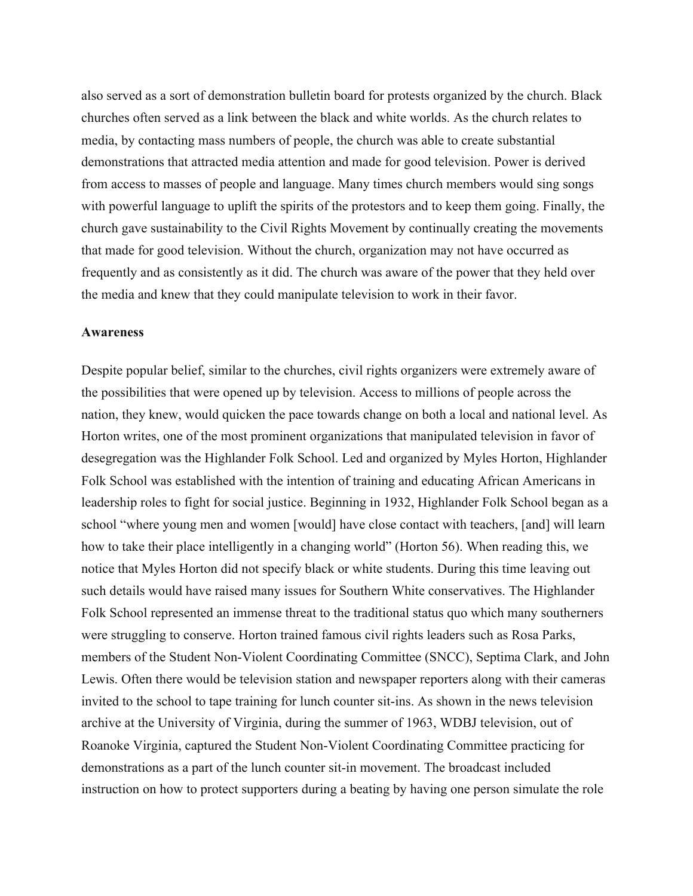also served as a sort of demonstration bulletin board for protests organized by the church. Black churches often served as a link between the black and white worlds. As the church relates to media, by contacting mass numbers of people, the church was able to create substantial demonstrations that attracted media attention and made for good television. Power is derived from access to masses of people and language. Many times church members would sing songs with powerful language to uplift the spirits of the protestors and to keep them going. Finally, the church gave sustainability to the Civil Rights Movement by continually creating the movements that made for good television. Without the church, organization may not have occurred as frequently and as consistently as it did. The church was aware of the power that they held over the media and knew that they could manipulate television to work in their favor.

#### **Awareness**

Despite popular belief, similar to the churches, civil rights organizers were extremely aware of the possibilities that were opened up by television. Access to millions of people across the nation, they knew, would quicken the pace towards change on both a local and national level. As Horton writes, one of the most prominent organizations that manipulated television in favor of desegregation was the Highlander Folk School. Led and organized by Myles Horton, Highlander Folk School was established with the intention of training and educating African Americans in leadership roles to fight for social justice. Beginning in 1932, Highlander Folk School began as a school "where young men and women [would] have close contact with teachers, [and] will learn how to take their place intelligently in a changing world" (Horton 56). When reading this, we notice that Myles Horton did not specify black or white students. During this time leaving out such details would have raised many issues for Southern White conservatives. The Highlander Folk School represented an immense threat to the traditional status quo which many southerners were struggling to conserve. Horton trained famous civil rights leaders such as Rosa Parks, members of the Student Non-Violent Coordinating Committee (SNCC), Septima Clark, and John Lewis. Often there would be television station and newspaper reporters along with their cameras invited to the school to tape training for lunch counter sit-ins. As shown in the news television archive at the University of Virginia, during the summer of 1963, WDBJ television, out of Roanoke Virginia, captured the Student Non-Violent Coordinating Committee practicing for demonstrations as a part of the lunch counter sit-in movement. The broadcast included instruction on how to protect supporters during a beating by having one person simulate the role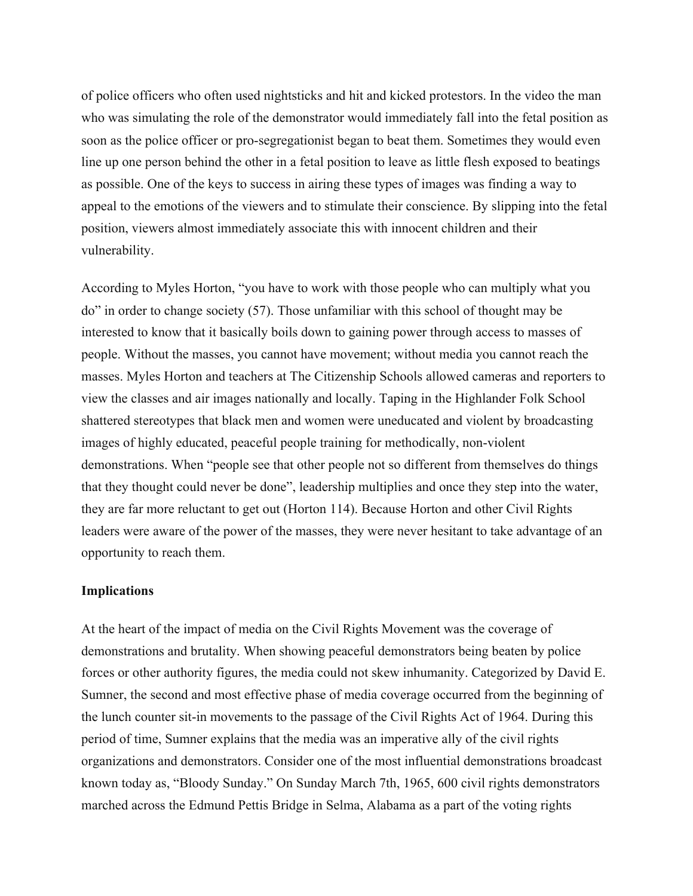of police officers who often used nightsticks and hit and kicked protestors. In the video the man who was simulating the role of the demonstrator would immediately fall into the fetal position as soon as the police officer or pro-segregationist began to beat them. Sometimes they would even line up one person behind the other in a fetal position to leave as little flesh exposed to beatings as possible. One of the keys to success in airing these types of images was finding a way to appeal to the emotions of the viewers and to stimulate their conscience. By slipping into the fetal position, viewers almost immediately associate this with innocent children and their vulnerability.

According to Myles Horton, "you have to work with those people who can multiply what you do" in order to change society (57). Those unfamiliar with this school of thought may be interested to know that it basically boils down to gaining power through access to masses of people. Without the masses, you cannot have movement; without media you cannot reach the masses. Myles Horton and teachers at The Citizenship Schools allowed cameras and reporters to view the classes and air images nationally and locally. Taping in the Highlander Folk School shattered stereotypes that black men and women were uneducated and violent by broadcasting images of highly educated, peaceful people training for methodically, non-violent demonstrations. When "people see that other people not so different from themselves do things that they thought could never be done", leadership multiplies and once they step into the water, they are far more reluctant to get out (Horton 114). Because Horton and other Civil Rights leaders were aware of the power of the masses, they were never hesitant to take advantage of an opportunity to reach them.

#### **Implications**

At the heart of the impact of media on the Civil Rights Movement was the coverage of demonstrations and brutality. When showing peaceful demonstrators being beaten by police forces or other authority figures, the media could not skew inhumanity. Categorized by David E. Sumner, the second and most effective phase of media coverage occurred from the beginning of the lunch counter sit-in movements to the passage of the Civil Rights Act of 1964. During this period of time, Sumner explains that the media was an imperative ally of the civil rights organizations and demonstrators. Consider one of the most influential demonstrations broadcast known today as, "Bloody Sunday." On Sunday March 7th, 1965, 600 civil rights demonstrators marched across the Edmund Pettis Bridge in Selma, Alabama as a part of the voting rights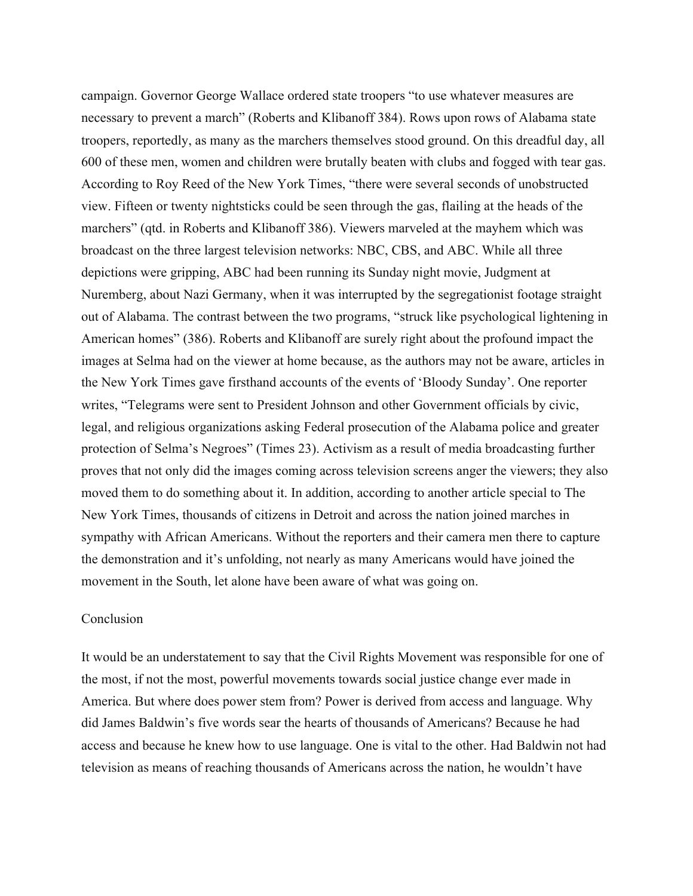campaign. Governor George Wallace ordered state troopers "to use whatever measures are necessary to prevent a march" (Roberts and Klibanoff 384). Rows upon rows of Alabama state troopers, reportedly, as many as the marchers themselves stood ground. On this dreadful day, all 600 of these men, women and children were brutally beaten with clubs and fogged with tear gas. According to Roy Reed of the New York Times, "there were several seconds of unobstructed view. Fifteen or twenty nightsticks could be seen through the gas, flailing at the heads of the marchers" (qtd. in Roberts and Klibanoff 386). Viewers marveled at the mayhem which was broadcast on the three largest television networks: NBC, CBS, and ABC. While all three depictions were gripping, ABC had been running its Sunday night movie, Judgment at Nuremberg, about Nazi Germany, when it was interrupted by the segregationist footage straight out of Alabama. The contrast between the two programs, "struck like psychological lightening in American homes" (386). Roberts and Klibanoff are surely right about the profound impact the images at Selma had on the viewer at home because, as the authors may not be aware, articles in the New York Times gave firsthand accounts of the events of 'Bloody Sunday'. One reporter writes, "Telegrams were sent to President Johnson and other Government officials by civic, legal, and religious organizations asking Federal prosecution of the Alabama police and greater protection of Selma's Negroes" (Times 23). Activism as a result of media broadcasting further proves that not only did the images coming across television screens anger the viewers; they also moved them to do something about it. In addition, according to another article special to The New York Times, thousands of citizens in Detroit and across the nation joined marches in sympathy with African Americans. Without the reporters and their camera men there to capture the demonstration and it's unfolding, not nearly as many Americans would have joined the movement in the South, let alone have been aware of what was going on.

#### Conclusion

It would be an understatement to say that the Civil Rights Movement was responsible for one of the most, if not the most, powerful movements towards social justice change ever made in America. But where does power stem from? Power is derived from access and language. Why did James Baldwin's five words sear the hearts of thousands of Americans? Because he had access and because he knew how to use language. One is vital to the other. Had Baldwin not had television as means of reaching thousands of Americans across the nation, he wouldn't have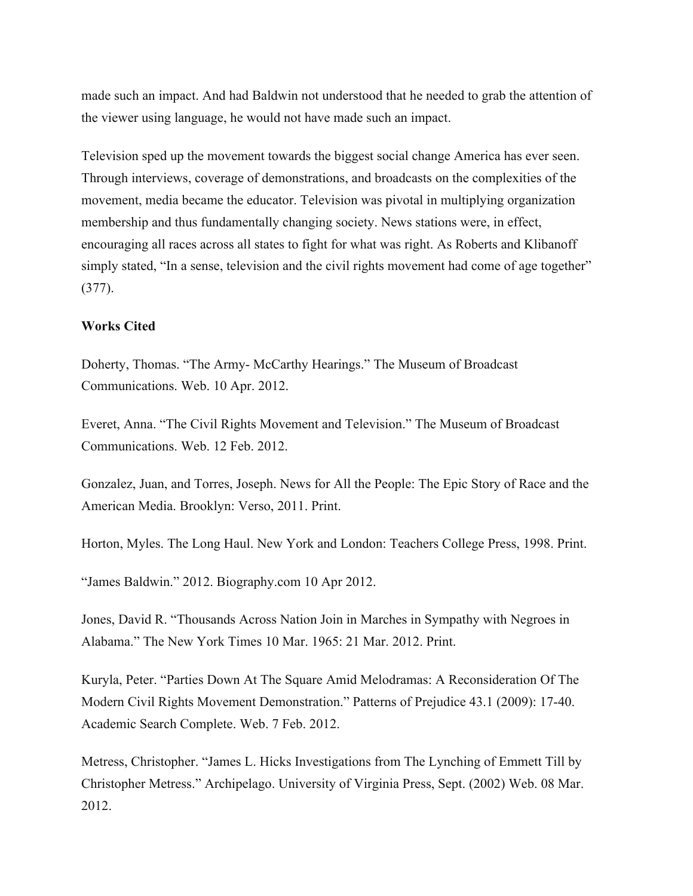made such an impact. And had Baldwin not understood that he needed to grab the attention of the viewer using language, he would not have made such an impact.

Television sped up the movement towards the biggest social change America has ever seen. Through interviews, coverage of demonstrations, and broadcasts on the complexities of the movement, media became the educator. Television was pivotal in multiplying organization membership and thus fundamentally changing society. News stations were, in effect, encouraging all races across all states to fight for what was right. As Roberts and Klibanoff simply stated, "In a sense, television and the civil rights movement had come of age together" (377).

## **Works Cited**

Doherty, Thomas. "The Army- McCarthy Hearings." The Museum of Broadcast Communications. Web. 10 Apr. 2012.

Everet, Anna. "The Civil Rights Movement and Television." The Museum of Broadcast Communications. Web. 12 Feb. 2012.

Gonzalez, Juan, and Torres, Joseph. News for All the People: The Epic Story of Race and the American Media. Brooklyn: Verso, 2011. Print.

Horton, Myles. The Long Haul. New York and London: Teachers College Press, 1998. Print.

"James Baldwin." 2012. Biography.com 10 Apr 2012.

Jones, David R. "Thousands Across Nation Join in Marches in Sympathy with Negroes in Alabama." The New York Times 10 Mar. 1965: 21 Mar. 2012. Print.

Kuryla, Peter. "Parties Down At The Square Amid Melodramas: A Reconsideration Of The Modern Civil Rights Movement Demonstration." Patterns of Prejudice 43.1 (2009): 17-40. Academic Search Complete. Web. 7 Feb. 2012.

Metress, Christopher. "James L. Hicks Investigations from The Lynching of Emmett Till by Christopher Metress." Archipelago. University of Virginia Press, Sept. (2002) Web. 08 Mar. 2012.